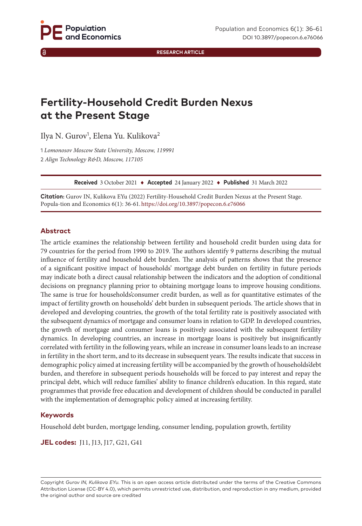**RESEARCH ARTICLE**

# **Fertility-Household Credit Burden Nexus at the Present Stage**

Ilya N. Gurov<sup>1</sup>, Elena Yu. Kulikova<sup>2</sup>

1 *Lomonosov Moscow State University, Moscow, 119991* 2 *Align Technology R&D, Moscow, 117105*

**Received** 3 October 2021 ♦ **Accepted** 24 January 2022 ♦ **Published** 31 March 2022

**Citation:** Gurov IN, Kulikova EYu (2022) Fertility-Household Credit Burden Nexus at the Present Stage. Popula-tion and Economics 6(1): 36-61. [https://doi.org/1](https://doi.org/10.3897/popecon.5.e76066)0.3897/popecon.6.e76066

#### **Abstract**

The article examines the relationship between fertility and household credit burden using data for 79 countries for the period from 1990 to 2019. The authors identify 9 patterns describing the mutual influence of fertility and household debt burden. The analysis of patterns shows that the presence of a significant positive impact of households' mortgage debt burden on fertility in future periods may indicate both a direct causal relationship between the indicators and the adoption of conditional decisions on pregnancy planning prior to obtaining mortgage loans to improve housing conditions. The same is true for households'consumer credit burden, as well as for quantitative estimates of the impact of fertility growth on households' debt burden in subsequent periods. The article shows that in developed and developing countries, the growth of the total fertility rate is positively associated with the subsequent dynamics of mortgage and consumer loans in relation to GDP. In developed countries, the growth of mortgage and consumer loans is positively associated with the subsequent fertility dynamics. In developing countries, an increase in mortgage loans is positively but insignificantly correlated with fertility in the following years, while an increase in consumer loans leads to an increase in fertility in the short term, and to its decrease in subsequent years. The results indicate that success in demographic policy aimed at increasing fertility will be accompanied by the growth of households'debt burden, and therefore in subsequent periods households will be forced to pay interest and repay the principal debt, which will reduce families' ability to finance children's education. In this regard, state programmes that provide free education and development of children should be conducted in parallel with the implementation of demographic policy aimed at increasing fertility.

#### **Keywords**

Household debt burden, mortgage lending, consumer lending, population growth, fertility

**JEL codes:** J11, J13, J17, G21, G41

Copyright *Gurov IN, Kulikova EYu.* This is an open access article distributed under the terms of the Creative Commons Attribution License (CC-BY 4.0), which permits unrestricted use, distribution, and reproduction in any medium, provided the original author and source are credited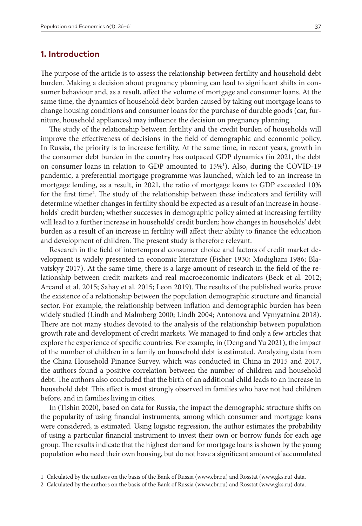## **1. Introduction**

The purpose of the article is to assess the relationship between fertility and household debt burden. Making a decision about pregnancy planning can lead to significant shifts in consumer behaviour and, as a result, affect the volume of mortgage and consumer loans. At the same time, the dynamics of household debt burden caused by taking out mortgage loans to change housing conditions and consumer loans for the purchase of durable goods (car, furniture, household appliances) may influence the decision on pregnancy planning.

The study of the relationship between fertility and the credit burden of households will improve the effectiveness of decisions in the field of demographic and economic policy. In Russia, the priority is to increase fertility. At the same time, in recent years, growth in the consumer debt burden in the country has outpaced GDP dynamics (in 2021, the debt on consumer loans in relation to GDP amounted to 15%<sup>1</sup>). Also, during the COVID-19 pandemic, a preferential mortgage programme was launched, which led to an increase in mortgage lending, as a result, in 2021, the ratio of mortgage loans to GDP exceeded 10% for the first time<sup>2</sup>. The study of the relationship between these indicators and fertility will determine whether changes in fertility should be expected as a result of an increase in households' credit burden; whether successes in demographic policy aimed at increasing fertility will lead to a further increase in households' credit burden; how changes in households' debt burden as a result of an increase in fertility will affect their ability to finance the education and development of children. The present study is therefore relevant.

Research in the field of intertemporal consumer choice and factors of credit market development is widely presented in economic literature (Fisher 1930; Modigliani 1986; Blavatskyy 2017). At the same time, there is a large amount of research in the field of the relationship between credit markets and real macroeconomic indicators (Beck et al. 2012; Arcand et al. 2015; Sahay et al. 2015; Leon 2019). The results of the published works prove the existence of a relationship between the population demographic structure and financial sector. For example, the relationship between inflation and demographic burden has been widely studied (Lindh and Malmberg 2000; Lindh 2004; Antonova and Vymyatnina 2018). There are not many studies devoted to the analysis of the relationship between population growth rate and development of credit markets. We managed to find only a few articles that explore the experience of specific countries. For example, in (Deng and Yu 2021), the impact of the number of children in a family on household debt is estimated. Analyzing data from the China Household Finance Survey, which was conducted in China in 2015 and 2017, the authors found a positive correlation between the number of children and household debt. The authors also concluded that the birth of an additional child leads to an increase in household debt. This effect is most strongly observed in families who have not had children before, and in families living in cities.

In (Tishin 2020), based on data for Russia, the impact the demographic structure shifts on the popularity of using financial instruments, among which consumer and mortgage loans were considered, is estimated. Using logistic regression, the author estimates the probability of using a particular financial instrument to invest their own or borrow funds for each age group. The results indicate that the highest demand for mortgage loans is shown by the young population who need their own housing, but do not have a significant amount of accumulated

<sup>1</sup> Calculated by the authors on the basis of the Bank of Russia [\(www.cbr.ru\)](http://www.cbr.ru) and Rosstat ([www.gks.ru\)](http://www.gks.ru) data.

<sup>2</sup> Calculated by the authors on the basis of the Bank of Russia [\(www.cbr.ru\)](http://www.cbr.ru) and Rosstat ([www.gks.ru\)](http://www.gks.ru) data.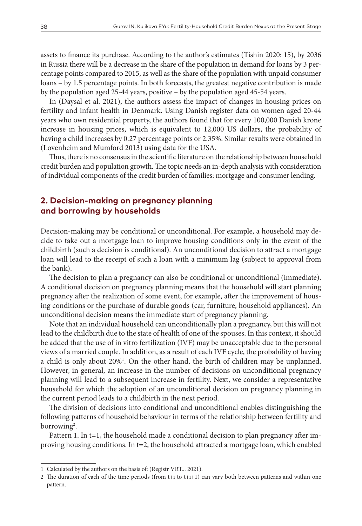assets to finance its purchase. According to the author's estimates (Tishin 2020: 15), by 2036 in Russia there will be a decrease in the share of the population in demand for loans by 3 percentage points compared to 2015, as well as the share of the population with unpaid consumer loans – by 1.5 percentage points. In both forecasts, the greatest negative contribution is made by the population aged 25-44 years, positive – by the population aged 45-54 years.

In (Daysal et al. 2021), the authors assess the impact of changes in housing prices on fertility and infant health in Denmark. Using Danish register data on women aged 20-44 years who own residential property, the authors found that for every 100,000 Danish krone increase in housing prices, which is equivalent to 12,000 US dollars, the probability of having a child increases by 0.27 percentage points or 2.35%. Similar results were obtained in (Lovenheim and Mumford 2013) using data for the USA.

Thus, there is no consensus in the scientific literature on the relationship between household credit burden and population growth. The topic needs an in-depth analysis with consideration of individual components of the credit burden of families: mortgage and consumer lending.

## **2. Decision-making on pregnancy planning and borrowing by households**

Decision-making may be conditional or unconditional. For example, a household may decide to take out a mortgage loan to improve housing conditions only in the event of the childbirth (such a decision is conditional). An unconditional decision to attract a mortgage loan will lead to the receipt of such a loan with a minimum lag (subject to approval from the bank).

The decision to plan a pregnancy can also be conditional or unconditional (immediate). A conditional decision on pregnancy planning means that the household will start planning pregnancy after the realization of some event, for example, after the improvement of housing conditions or the purchase of durable goods (car, furniture, household appliances). An unconditional decision means the immediate start of pregnancy planning.

Note that an individual household can unconditionally plan a pregnancy, but this will not lead to the childbirth due to the state of health of one of the spouses. In this context, it should be added that the use of in vitro fertilization (IVF) may be unacceptable due to the personal views of a married couple. In addition, as a result of each IVF cycle, the probability of having a child is only about 20%1 . On the other hand, the birth of children may be unplanned. However, in general, an increase in the number of decisions on unconditional pregnancy planning will lead to a subsequent increase in fertility. Next, we consider a representative household for which the adoption of an unconditional decision on pregnancy planning in the current period leads to a childbirth in the next period.

The division of decisions into conditional and unconditional enables distinguishing the following patterns of household behaviour in terms of the relationship between fertility and borrowing<sup>2</sup>.

Pattern 1. In t=1, the household made a conditional decision to plan pregnancy after improving housing conditions. In t=2, the household attracted a mortgage loan, which enabled

<sup>1</sup> Calculated by the authors on the basis of: (Registr VRT... 2021).

<sup>2</sup> The duration of each of the time periods (from t+i to t+i+1) can vary both between patterns and within one pattern.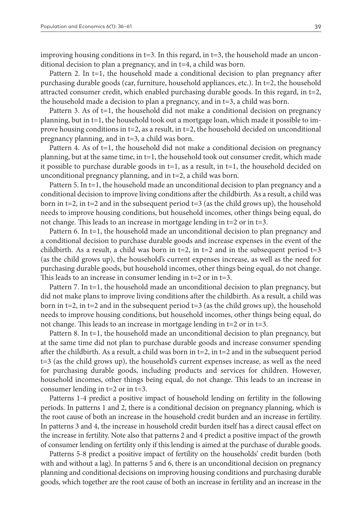improving housing conditions in  $t=3$ . In this regard, in  $t=3$ , the household made an unconditional decision to plan a pregnancy, and in t=4, a child was born.

Pattern 2. In t=1, the household made a conditional decision to plan pregnancy after purchasing durable goods (car, furniture, household appliances, etc.). In t=2, the household attracted consumer credit, which enabled purchasing durable goods. In this regard, in  $t=2$ , the household made a decision to plan a pregnancy, and in t=3, a child was born.

Pattern 3. As of  $t=1$ , the household did not make a conditional decision on pregnancy planning, but in t=1, the household took out a mortgage loan, which made it possible to improve housing conditions in  $t=2$ , as a result, in  $t=2$ , the household decided on unconditional pregnancy planning, and in t=3, a child was born.

Pattern 4. As of  $t=1$ , the household did not make a conditional decision on pregnancy planning, but at the same time, in t=1, the household took out consumer credit, which made it possible to purchase durable goods in  $t=1$ , as a result, in  $t=1$ , the household decided on unconditional pregnancy planning, and in t=2, a child was born.

Pattern 5. In t=1, the household made an unconditional decision to plan pregnancy and a conditional decision to improve living conditions after the childbirth. As a result, a child was born in t=2, in t=2 and in the subsequent period t=3 (as the child grows up), the household needs to improve housing conditions, but household incomes, other things being equal, do not change. This leads to an increase in mortgage lending in t=2 or in t=3.

Pattern 6. In t=1, the household made an unconditional decision to plan pregnancy and a conditional decision to purchase durable goods and increase expenses in the event of the childbirth. As a result, a child was born in  $t=2$ , in  $t=2$  and in the subsequent period  $t=3$ (as the child grows up), the household's current expenses increase, as well as the need for purchasing durable goods, but household incomes, other things being equal, do not change. This leads to an increase in consumer lending in t=2 or in t=3.

Pattern 7. In t=1, the household made an unconditional decision to plan pregnancy, but did not make plans to improve living conditions after the childbirth. As a result, a child was born in t=2, in t=2 and in the subsequent period t=3 (as the child grows up), the household needs to improve housing conditions, but household incomes, other things being equal, do not change. This leads to an increase in mortgage lending in t=2 or in t=3.

Pattern 8. In t=1, the household made an unconditional decision to plan pregnancy, but at the same time did not plan to purchase durable goods and increase consumer spending after the childbirth. As a result, a child was born in  $t=2$ , in  $t=2$  and in the subsequent period t=3 (as the child grows up), the household's current expenses increase, as well as the need for purchasing durable goods, including products and services for children. However, household incomes, other things being equal, do not change. This leads to an increase in consumer lending in t=2 or in t=3.

Patterns 1-4 predict a positive impact of household lending on fertility in the following periods. In patterns 1 and 2, there is a conditional decision on pregnancy planning, which is the root cause of both an increase in the household credit burden and an increase in fertility. In patterns 3 and 4, the increase in household credit burden itself has a direct causal effect on the increase in fertility. Note also that patterns 2 and 4 predict a positive impact of the growth of consumer lending on fertility only if this lending is aimed at the purchase of durable goods.

Patterns 5-8 predict a positive impact of fertility on the households' credit burden (both with and without a lag). In patterns 5 and 6, there is an unconditional decision on pregnancy planning and conditional decisions on improving housing conditions and purchasing durable goods, which together are the root cause of both an increase in fertility and an increase in the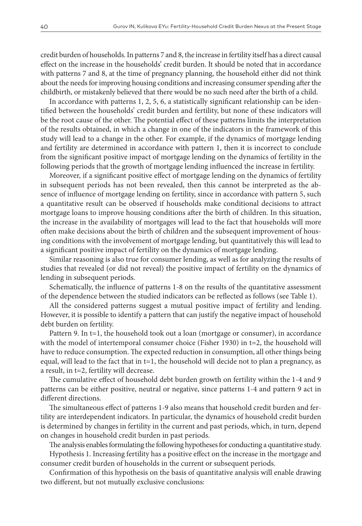credit burden of households. In patterns 7 and 8, the increase in fertility itself has a direct causal effect on the increase in the households' credit burden. It should be noted that in accordance with patterns 7 and 8, at the time of pregnancy planning, the household either did not think about the needs for improving housing conditions and increasing consumer spending after the childbirth, or mistakenly believed that there would be no such need after the birth of a child.

In accordance with patterns 1, 2, 5, 6, a statistically significant relationship can be identified between the households' credit burden and fertility, but none of these indicators will be the root cause of the other. The potential effect of these patterns limits the interpretation of the results obtained, in which a change in one of the indicators in the framework of this study will lead to a change in the other. For example, if the dynamics of mortgage lending and fertility are determined in accordance with pattern 1, then it is incorrect to conclude from the significant positive impact of mortgage lending on the dynamics of fertility in the following periods that the growth of mortgage lending influenced the increase in fertility.

Moreover, if a significant positive effect of mortgage lending on the dynamics of fertility in subsequent periods has not been revealed, then this cannot be interpreted as the absence of influence of mortgage lending on fertility, since in accordance with pattern 5, such a quantitative result can be observed if households make conditional decisions to attract mortgage loans to improve housing conditions after the birth of children. In this situation, the increase in the availability of mortgages will lead to the fact that households will more often make decisions about the birth of children and the subsequent improvement of housing conditions with the involvement of mortgage lending, but quantitatively this will lead to a significant positive impact of fertility on the dynamics of mortgage lending.

Similar reasoning is also true for consumer lending, as well as for analyzing the results of studies that revealed (or did not reveal) the positive impact of fertility on the dynamics of lending in subsequent periods.

Schematically, the influence of patterns 1-8 on the results of the quantitative assessment of the dependence between the studied indicators can be reflected as follows (see Table 1).

All the considered patterns suggest a mutual positive impact of fertility and lending. However, it is possible to identify a pattern that can justify the negative impact of household debt burden on fertility.

Pattern 9. In t=1, the household took out a loan (mortgage or consumer), in accordance with the model of intertemporal consumer choice (Fisher 1930) in t=2, the household will have to reduce consumption. The expected reduction in consumption, all other things being equal, will lead to the fact that in t=1, the household will decide not to plan a pregnancy, as a result, in t=2, fertility will decrease.

The cumulative effect of household debt burden growth on fertility within the 1-4 and 9 patterns can be either positive, neutral or negative, since patterns 1-4 and pattern 9 act in different directions.

The simultaneous effect of patterns 1-9 also means that household credit burden and fertility are interdependent indicators. In particular, the dynamics of household credit burden is determined by changes in fertility in the current and past periods, which, in turn, depend on changes in household credit burden in past periods.

The analysis enables formulating the following hypotheses for conducting a quantitative study.

Hypothesis 1. Increasing fertility has a positive effect on the increase in the mortgage and consumer credit burden of households in the current or subsequent periods.

Confirmation of this hypothesis on the basis of quantitative analysis will enable drawing two different, but not mutually exclusive conclusions: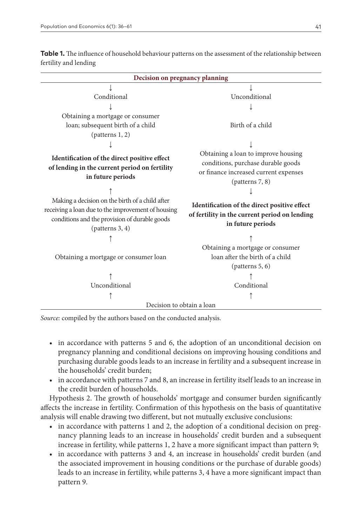| Decision on pregnancy planning                                                                                                                                                                                                                                                                 |                                                                                                                                                                                                                                                            |  |  |
|------------------------------------------------------------------------------------------------------------------------------------------------------------------------------------------------------------------------------------------------------------------------------------------------|------------------------------------------------------------------------------------------------------------------------------------------------------------------------------------------------------------------------------------------------------------|--|--|
| Conditional<br>Obtaining a mortgage or consumer                                                                                                                                                                                                                                                | Unconditional                                                                                                                                                                                                                                              |  |  |
| loan; subsequent birth of a child<br>(patters 1, 2)                                                                                                                                                                                                                                            | Birth of a child                                                                                                                                                                                                                                           |  |  |
| Identification of the direct positive effect<br>of lending in the current period on fertility<br>in future periods<br>Making a decision on the birth of a child after<br>receiving a loan due to the improvement of housing<br>conditions and the provision of durable goods<br>(patters 3, 4) | Obtaining a loan to improve housing<br>conditions, purchase durable goods<br>or finance increased current expenses<br>(patters 7, 8)<br>Identification of the direct positive effect<br>of fertility in the current period on lending<br>in future periods |  |  |
| Obtaining a mortgage or consumer loan<br>Unconditional<br>Decision to obtain a loan                                                                                                                                                                                                            | Obtaining a mortgage or consumer<br>loan after the birth of a child<br>(patters 5, 6)<br>Conditional                                                                                                                                                       |  |  |

**Table 1.** The influence of household behaviour patterns on the assessment of the relationship between fertility and lending

*Source:* compiled by the authors based on the conducted analysis.

- in accordance with patterns 5 and 6, the adoption of an unconditional decision on pregnancy planning and conditional decisions on improving housing conditions and purchasing durable goods leads to an increase in fertility and a subsequent increase in the households' credit burden;
- in accordance with patterns 7 and 8, an increase in fertility itself leads to an increase in the credit burden of households.

Hypothesis 2. The growth of households' mortgage and consumer burden significantly affects the increase in fertility. Confirmation of this hypothesis on the basis of quantitative analysis will enable drawing two different, but not mutually exclusive conclusions:

- in accordance with patterns 1 and 2, the adoption of a conditional decision on pregnancy planning leads to an increase in households' credit burden and a subsequent increase in fertility, while patterns 1, 2 have a more significant impact than pattern 9;
- in accordance with patterns 3 and 4, an increase in households' credit burden (and the associated improvement in housing conditions or the purchase of durable goods) leads to an increase in fertility, while patterns 3, 4 have a more significant impact than pattern 9.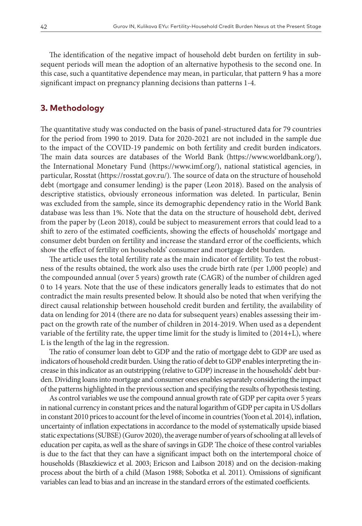The identification of the negative impact of household debt burden on fertility in subsequent periods will mean the adoption of an alternative hypothesis to the second one. In this case, such a quantitative dependence may mean, in particular, that pattern 9 has a more significant impact on pregnancy planning decisions than patterns 1-4.

#### **3. Methodology**

The quantitative study was conducted on the basis of panel-structured data for 79 countries for the period from 1990 to 2019. Data for 2020-2021 are not included in the sample due to the impact of the COVID-19 pandemic on both fertility and credit burden indicators. The main data sources are databases of the World Bank [\(https://www.worldbank.org/\)](https://www.worldbank.org/), the International Monetary Fund (<https://www.imf.org/>), national statistical agencies, in particular, Rosstat [\(https://rosstat.gov.ru/\)](https://rosstat.gov.ru/). The source of data on the structure of household debt (mortgage and consumer lending) is the paper (Leon 2018). Based on the analysis of descriptive statistics, obviously erroneous information was deleted. In particular, Benin was excluded from the sample, since its demographic dependency ratio in the World Bank database was less than 1%. Note that the data on the structure of household debt, derived from the paper by (Leon 2018), could be subject to measurement errors that could lead to a shift to zero of the estimated coefficients, showing the effects of households' mortgage and consumer debt burden on fertility and increase the standard error of the coefficients, which show the effect of fertility on households' consumer and mortgage debt burden.

The article uses the total fertility rate as the main indicator of fertility. To test the robustness of the results obtained, the work also uses the crude birth rate (per 1,000 people) and the compounded annual (over 5 years) growth rate (CAGR) of the number of children aged 0 to 14 years. Note that the use of these indicators generally leads to estimates that do not contradict the main results presented below. It should also be noted that when verifying the direct causal relationship between household credit burden and fertility, the availability of data on lending for 2014 (there are no data for subsequent years) enables assessing their impact on the growth rate of the number of children in 2014-2019. When used as a dependent variable of the fertility rate, the upper time limit for the study is limited to (2014+L), where L is the length of the lag in the regression.

The ratio of consumer loan debt to GDP and the ratio of mortgage debt to GDP are used as indicators of household credit burden. Using the ratio of debt to GDP enables interpreting the increase in this indicator as an outstripping (relative to GDP) increase in the households' debt burden. Dividing loans into mortgage and consumer ones enables separately considering the impact of the patterns highlighted in the previous section and specifying the results of hypothesis testing.

As control variables we use the compound annual growth rate of GDP per capita over 5 years in national currency in constant prices and the natural logarithm of GDP per capita in US dollars in constant 2010 prices to account for the level of income in countries (Yoon et al. 2014), inflation, uncertainty of inflation expectations in accordance to the model of systematically upside biased static expectations (SUBSE) (Gurov 2020), the average number of years of schooling at all levels of education per capita, as well as the share of savings in GDP. The choice of these control variables is due to the fact that they can have a significant impact both on the intertemporal choice of households (Błaszkiewicz et al. 2003; Ericson and Laibson 2018) and on the decision-making process about the birth of a child (Mason 1988; Sobotka et al. 2011). Omissions of significant variables can lead to bias and an increase in the standard errors of the estimated coefficients.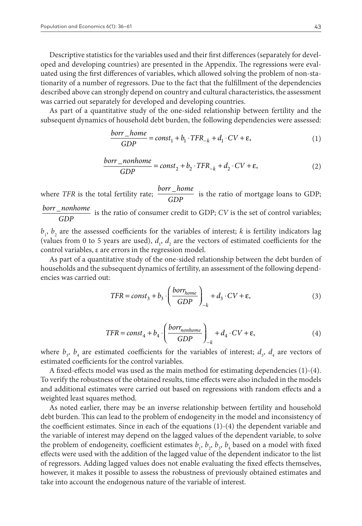Descriptive statistics for the variables used and their first differences (separately for developed and developing countries) are presented in the Appendix. The regressions were evaluated using the first differences of variables, which allowed solving the problem of non-stationarity of a number of regressors. Due to the fact that the fulfillment of the dependencies described above can strongly depend on country and cultural characteristics, the assessment was carried out separately for developed and developing countries.

As part of a quantitative study of the one-sided relationship between fertility and the subsequent dynamics of household debt burden, the following dependencies were assessed:

$$
\frac{borr\_home}{GDP} = const_1 + b_1 \cdot TFR_{-k} + d_1 \cdot CV + \varepsilon,\tag{1}
$$

$$
\frac{borr\_nonhome}{GDP} = const_2 + b_2 \cdot TFR_{-k} + d_2 \cdot CV + \varepsilon,
$$
\n(2)

where *TFR* is the total fertility rate; **borr** *home*  $\frac{r_{\text{}}}{GDP}$  is the ratio of mortgage loans to GDP; *borr nonhome GDP*  $\frac{1}{\sqrt{CDP}}$  is the ratio of consumer credit to GDP; *CV* is the set of control variables;

 $b_1$ ,  $b_2$  are the assessed coefficients for the variables of interest; *k* is fertility indicators lag (values from 0 to 5 years are used),  $d_1$ ,  $d_2$  are the vectors of estimated coefficients for the control variables, ε are errors in the regression model.

As part of a quantitative study of the one-sided relationship between the debt burden of households and the subsequent dynamics of fertility, an assessment of the following dependencies was carried out:

$$
TFR = const_3 + b_3 \cdot \left(\frac{borr_{home}}{GDP}\right)_{-k} + d_3 \cdot CV + \varepsilon,
$$
\n(3)

$$
TFR = const_4 + b_4 \cdot \left(\frac{borr_{nonhome}}{GDP}\right)_{-k} + d_4 \cdot CV + \varepsilon,
$$
\n(4)

where  $b_3$ ,  $b_4$  are estimated coefficients for the variables of interest;  $d_3$ ,  $d_4$  are vectors of estimated coefficients for the control variables.

A fixed-effects model was used as the main method for estimating dependencies (1)-(4). To verify the robustness of the obtained results, time effects were also included in the models and additional estimates were carried out based on regressions with random effects and a weighted least squares method.

As noted earlier, there may be an inverse relationship between fertility and household debt burden. This can lead to the problem of endogeneity in the model and inconsistency of the coefficient estimates. Since in each of the equations (1)-(4) the dependent variable and the variable of interest may depend on the lagged values of the dependent variable, to solve the problem of endogeneity, coefficient estimates  $b_1$ ,  $b_2$ ,  $b_3$ ,  $b_4$  based on a model with fixed effects were used with the addition of the lagged value of the dependent indicator to the list of regressors. Adding lagged values does not enable evaluating the fixed effects themselves, however, it makes it possible to assess the robustness of previously obtained estimates and take into account the endogenous nature of the variable of interest.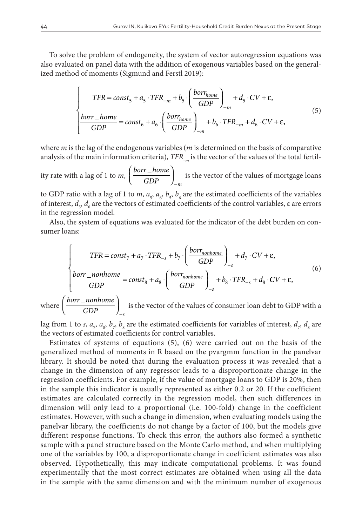To solve the problem of endogeneity, the system of vector autoregression equations was also evaluated on panel data with the addition of exogenous variables based on the generalized method of moments (Sigmund and Ferstl 2019):

$$
\begin{cases}\nTFR = const_5 + a_5 \cdot TFR_{-m} + b_5 \cdot \left(\frac{borr_{home}}{GDP}\right)_{-m} + d_5 \cdot CV + \varepsilon, \\
\frac{borr_{-home}}{GDP} = const_6 + a_6 \cdot \left(\frac{borr_{home}}{GDP}\right)_{-m} + b_6 \cdot TFR_{-m} + d_6 \cdot CV + \varepsilon,\n\end{cases} (5)
$$

where *m* is the lag of the endogenous variables (*m* is determined on the basis of comparative analysis of the main information criteria), *TFR<sub>\_m</sub>* is the vector of the values of the total fertil-

ity rate with a lag of 1 to *m*,  $\left(\frac{borr_{h}^{2}}{CDP_{h}}\right)$ *GDP <sup>m</sup>*  $\int$  borr  $\_$  $\left(\frac{borr\_home}{GDP}\right)_{-}$ is the vector of the values of mortgage loans

to GDP ratio with a lag of 1 to *m*,  $a_s$ ,  $a_s$ ,  $b_s$ ,  $b_s$  are the estimated coefficients of the variables of interest,  $d_s$ ,  $d_s$  are the vectors of estimated coefficients of the control variables, ε are errors in the regression model.

Also, the system of equations was evaluated for the indicator of the debt burden on consumer loans:

$$
\begin{cases}\nTFR = const_{7} + a_{7} \cdot TFR_{-s} + b_{7} \cdot \left(\frac{borr_{nonhome}}{GDP}\right)_{-s} + d_{7} \cdot CV + \varepsilon, \\
\frac{borr_{nonhome}}{GDP} = const_{8} + a_{8} \cdot \left(\frac{borr_{nonhome}}{GDP}\right)_{-s} + b_{8} \cdot TFR_{-s} + d_{8} \cdot CV + \varepsilon,\n\end{cases}
$$
\n(6)

where  $\frac{borr\_nonhome}{GDR}$ *GDP <sup>s</sup>*  $\int$  borr  $\_$  $\left(\frac{borr\_nonhome}{GDP}\right)_{-}$ is the vector of the values of consumer loan debt to GDP with a

lag from 1 to *s*,  $a_{7}$ ,  $a_{8}$ ,  $b_{7}$ ,  $b_{8}$  are the estimated coefficients for variables of interest,  $d_{7}$ ,  $d_{8}$  are the vectors of estimated coefficients for control variables.

Estimates of systems of equations (5), (6) were carried out on the basis of the generalized method of moments in R based on the pvargmm function in the panelvar library. It should be noted that during the evaluation process it was revealed that a change in the dimension of any regressor leads to a disproportionate change in the regression coefficients. For example, if the value of mortgage loans to GDP is 20%, then in the sample this indicator is usually represented as either 0.2 or 20. If the coefficient estimates are calculated correctly in the regression model, then such differences in dimension will only lead to a proportional (i.e. 100-fold) change in the coefficient estimates. However, with such a change in dimension, when evaluating models using the panelvar library, the coefficients do not change by a factor of 100, but the models give different response functions. To check this error, the authors also formed a synthetic sample with a panel structure based on the Monte Carlo method, and when multiplying one of the variables by 100, a disproportionate change in coefficient estimates was also observed. Hypothetically, this may indicate computational problems. It was found experimentally that the most correct estimates are obtained when using all the data in the sample with the same dimension and with the minimum number of exogenous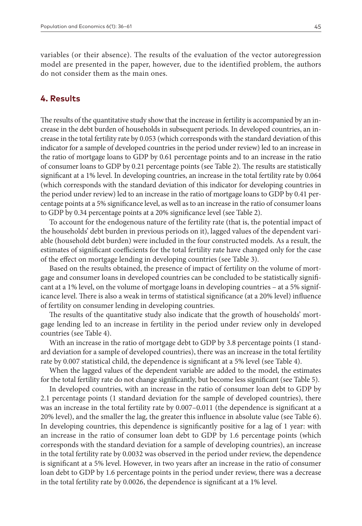variables (or their absence). The results of the evaluation of the vector autoregression model are presented in the paper, however, due to the identified problem, the authors do not consider them as the main ones.

#### **4. Results**

The results of the quantitative study show that the increase in fertility is accompanied by an increase in the debt burden of households in subsequent periods. In developed countries, an increase in the total fertility rate by 0.053 (which corresponds with the standard deviation of this indicator for a sample of developed countries in the period under review) led to an increase in the ratio of mortgage loans to GDP by 0.61 percentage points and to an increase in the ratio of consumer loans to GDP by 0.21 percentage points (see Table 2). The results are statistically significant at a 1% level. In developing countries, an increase in the total fertility rate by 0.064 (which corresponds with the standard deviation of this indicator for developing countries in the period under review) led to an increase in the ratio of mortgage loans to GDP by 0.41 percentage points at a 5% significance level, as well as to an increase in the ratio of consumer loans to GDP by 0.34 percentage points at a 20% significance level (see Table 2).

To account for the endogenous nature of the fertility rate (that is, the potential impact of the households' debt burden in previous periods on it), lagged values of the dependent variable (household debt burden) were included in the four constructed models. As a result, the estimates of significant coefficients for the total fertility rate have changed only for the case of the effect on mortgage lending in developing countries (see Table 3).

Based on the results obtained, the presence of impact of fertility on the volume of mortgage and consumer loans in developed countries can be concluded to be statistically significant at a 1% level, on the volume of mortgage loans in developing countries – at a 5% significance level. There is also a weak in terms of statistical significance (at a 20% level) influence of fertility on consumer lending in developing countries.

The results of the quantitative study also indicate that the growth of households' mortgage lending led to an increase in fertility in the period under review only in developed countries (see Table 4).

With an increase in the ratio of mortgage debt to GDP by 3.8 percentage points (1 standard deviation for a sample of developed countries), there was an increase in the total fertility rate by 0.007 statistical child, the dependence is significant at a 5% level (see Table 4).

When the lagged values of the dependent variable are added to the model, the estimates for the total fertility rate do not change significantly, but become less significant (see Table 5).

In developed countries, with an increase in the ratio of consumer loan debt to GDP by 2.1 percentage points (1 standard deviation for the sample of developed countries), there was an increase in the total fertility rate by 0.007–0.011 (the dependence is significant at a 20% level), and the smaller the lag, the greater this influence in absolute value (see Table 6). In developing countries, this dependence is significantly positive for a lag of 1 year: with an increase in the ratio of consumer loan debt to GDP by 1.6 percentage points (which corresponds with the standard deviation for a sample of developing countries), an increase in the total fertility rate by 0.0032 was observed in the period under review, the dependence is significant at a 5% level. However, in two years after an increase in the ratio of consumer loan debt to GDP by 1.6 percentage points in the period under review, there was a decrease in the total fertility rate by 0.0026, the dependence is significant at a 1% level.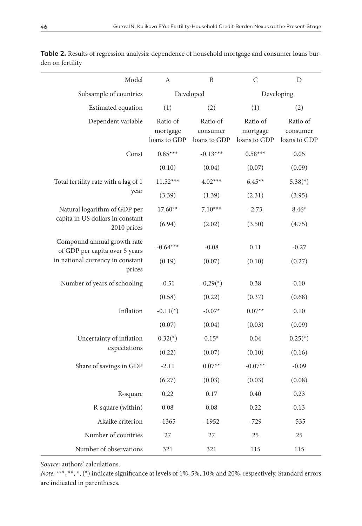| Model                                                                                                       | A                                    | B                                    | $\mathsf{C}$                         | D                                    |
|-------------------------------------------------------------------------------------------------------------|--------------------------------------|--------------------------------------|--------------------------------------|--------------------------------------|
| Subsample of countries                                                                                      |                                      | Developed                            |                                      | Developing                           |
| Estimated equation                                                                                          | (1)                                  | (2)                                  | (1)                                  | (2)                                  |
| Dependent variable                                                                                          | Ratio of<br>mortgage<br>loans to GDP | Ratio of<br>consumer<br>loans to GDP | Ratio of<br>mortgage<br>loans to GDP | Ratio of<br>consumer<br>loans to GDP |
| Const                                                                                                       | $0.85***$                            | $-0.13***$                           | $0.58***$                            | 0.05                                 |
|                                                                                                             | (0.10)                               | (0.04)                               | (0.07)                               | (0.09)                               |
| Total fertility rate with a lag of 1                                                                        | $11.52***$                           | $4.02***$                            | $6.45**$                             | $5.38(*)$                            |
| year                                                                                                        | (3.39)                               | (1.39)                               | (2.31)                               | (3.95)                               |
| Natural logarithm of GDP per                                                                                | $17.60**$                            | $7.10***$                            | $-2.73$                              | $8.46*$                              |
| capita in US dollars in constant<br>2010 prices                                                             | (6.94)                               | (2.02)                               | (3.50)                               | (4.75)                               |
| Compound annual growth rate<br>of GDP per capita over 5 years<br>in national currency in constant<br>prices | $-0.64***$                           | $-0.08$                              | 0.11                                 | $-0.27$                              |
|                                                                                                             | (0.19)                               | (0.07)                               | (0.10)                               | (0.27)                               |
| Number of years of schooling                                                                                | $-0.51$                              | $-0,29(*)$                           | 0.38                                 | 0.10                                 |
|                                                                                                             | (0.58)                               | (0.22)                               | (0.37)                               | (0.68)                               |
| Inflation                                                                                                   | $-0.11(*)$                           | $-0.07*$                             | $0.07**$                             | 0.10                                 |
|                                                                                                             | (0.07)                               | (0.04)                               | (0.03)                               | (0.09)                               |
| Uncertainty of inflation                                                                                    | $0.32(*)$                            | $0.15*$                              | 0.04                                 | $0.25(*)$                            |
| expectations                                                                                                | (0.22)                               | (0.07)                               | (0.10)                               | (0.16)                               |
| Share of savings in GDP                                                                                     | $-2.11$                              | $0.07**$                             | $-0.07**$                            | $-0.09$                              |
|                                                                                                             | (6.27)                               | (0.03)                               | (0.03)                               | (0.08)                               |
| R-square                                                                                                    | 0.22                                 | 0.17                                 | 0.40                                 | 0.23                                 |
| R-square (within)                                                                                           | 0.08                                 | 0.08                                 | 0.22                                 | 0.13                                 |
| Akaike criterion                                                                                            | $-1365$                              | $-1952$                              | $-729$                               | $-535$                               |
| Number of countries                                                                                         | 27                                   | 27                                   | 25                                   | 25                                   |
| Number of observations                                                                                      | 321                                  | 321                                  | 115                                  | 115                                  |

**Table 2.** Results of regression analysis: dependence of household mortgage and consumer loans burden on fertility

*Source:* authors' calculations.

L.

*Note:* \*\*\*, \*\*, \*, (\*) indicate significance at levels of 1%, 5%, 10% and 20%, respectively. Standard errors are indicated in parentheses.

 $\overline{\phantom{a}}$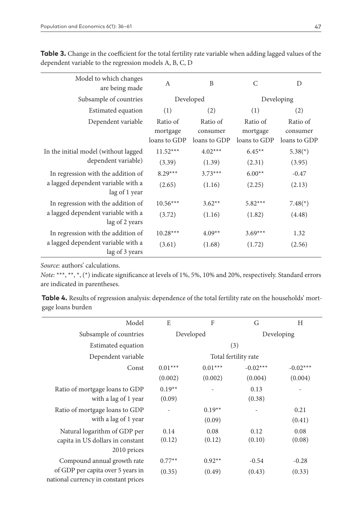| Model to which changes<br>are being made             | $\mathbf{A}$ | B            | $\mathsf{C}$ | D            |
|------------------------------------------------------|--------------|--------------|--------------|--------------|
| Subsample of countries                               |              | Developed    | Developing   |              |
| Estimated equation                                   | (1)          | (2)          | (1)          | (2)          |
| Dependent variable                                   | Ratio of     | Ratio of     | Ratio of     | Ratio of     |
|                                                      | mortgage     | consumer     | mortgage     | consumer     |
|                                                      | loans to GDP | loans to GDP | loans to GDP | loans to GDP |
| In the initial model (without lagged                 | $11.52***$   | $4.02***$    | $6.45**$     | $5.38(*)$    |
| dependent variable)                                  | (3.39)       | (1.39)       | (2.31)       | (3.95)       |
| In regression with the addition of                   | $8.29***$    | $3.73***$    | $6.00**$     | $-0.47$      |
| a lagged dependent variable with a<br>lag of 1 year  | (2.65)       | (1.16)       | (2.25)       | (2.13)       |
| In regression with the addition of                   | $10.56***$   | $3.62**$     | $5.82***$    | $7.48(*)$    |
| a lagged dependent variable with a<br>lag of 2 years | (3.72)       | (1.16)       | (1.82)       | (4.48)       |
| In regression with the addition of                   | $10.28***$   | $4.09**$     | $3.69***$    | 1.32         |
| a lagged dependent variable with a<br>lag of 3 years | (3.61)       | (1.68)       | (1.72)       | (2.56)       |

**Table 3.** Change in the coefficient for the total fertility rate variable when adding lagged values of the dependent variable to the regression models A, B, C, D

*Source:* authors' calculations.

*Note:* \*\*\*, \*\*, \*, (\*) indicate significance at levels of 1%, 5%, 10% and 20%, respectively. Standard errors are indicated in parentheses.

**Table 4.** Results of regression analysis: dependence of the total fertility rate on the households' mortgage loans burden

| Model                                | E                       | F         | G                    | H          |
|--------------------------------------|-------------------------|-----------|----------------------|------------|
| Subsample of countries               | Developed<br>Developing |           |                      |            |
| Estimated equation                   |                         |           | (3)                  |            |
| Dependent variable                   |                         |           | Total fertility rate |            |
| Const                                | $0.01***$               | $0.01***$ | $-0.02***$           | $-0.02***$ |
|                                      | (0.002)                 | (0.002)   | (0.004)              | (0.004)    |
| Ratio of mortgage loans to GDP       | $0.19**$                |           | 0.13                 |            |
| with a lag of 1 year                 | (0.09)                  |           | (0.38)               |            |
| Ratio of mortgage loans to GDP       |                         | $0.19**$  |                      | 0.21       |
| with a lag of 1 year                 |                         | (0.09)    |                      | (0.41)     |
| Natural logarithm of GDP per         | 0.14                    | 0.08      | 0.12                 | 0.08       |
| capita in US dollars in constant     | (0.12)                  | (0.12)    | (0.10)               | (0.08)     |
| 2010 prices                          |                         |           |                      |            |
| Compound annual growth rate          | $0.77**$                | $0.92**$  | $-0.54$              | $-0.28$    |
| of GDP per capita over 5 years in    | (0.35)                  | (0.49)    | (0.43)               | (0.33)     |
| national currency in constant prices |                         |           |                      |            |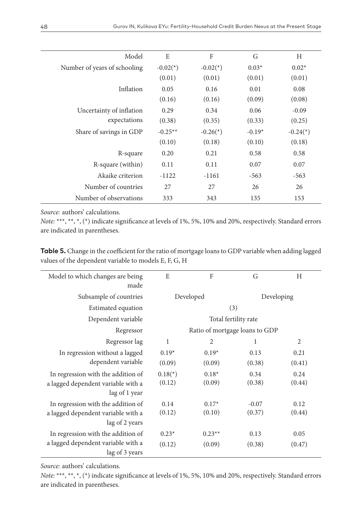| Model                        | E          | F                        | G        | H                        |
|------------------------------|------------|--------------------------|----------|--------------------------|
| Number of years of schooling | $-0.02(*)$ | $-0.02(*)$               | $0.03*$  | $0.02*$                  |
|                              | (0.01)     | (0.01)                   | (0.01)   | (0.01)                   |
| Inflation                    | 0.05       | 0.16                     | 0.01     | 0.08                     |
|                              | (0.16)     | (0.16)                   | (0.09)   | (0.08)                   |
| Uncertainty of inflation     | 0.29       | 0.34                     | 0.06     | $-0.09$                  |
| expectations                 | (0.38)     | (0.35)                   | (0.33)   | (0.25)                   |
| Share of savings in GDP      | $-0.25**$  | $-0.26$ <sup>(*)</sup> ) | $-0.19*$ | $-0.24$ <sup>(*)</sup> ) |
|                              | (0.10)     | (0.18)                   | (0.10)   | (0.18)                   |
| R-square                     | 0.20       | 0.21                     | 0.58     | 0.58                     |
| R-square (within)            | 0.11       | 0.11                     | 0.07     | 0.07                     |
| Akaike criterion             | $-1122$    | $-1161$                  | $-563$   | $-563$                   |
| Number of countries          | 27         | 27                       | 26       | 26                       |
| Number of observations       | 333        | 343                      | 135      | 153                      |
|                              |            |                          |          |                          |

*Source:* authors' calculations.

*Note:* \*\*\*, \*\*, \*, (\*) indicate significance at levels of 1%, 5%, 10% and 20%, respectively. Standard errors are indicated in parentheses.

**Table 5.** Change in the coefficient for the ratio of mortgage loans to GDP variable when adding lagged values of the dependent variable to models E, F, G, H

| Model to which changes are being<br>made | E                       | F                              | G       | H      |
|------------------------------------------|-------------------------|--------------------------------|---------|--------|
| Subsample of countries                   | Developed<br>Developing |                                |         |        |
| Estimated equation                       |                         | (3)                            |         |        |
| Dependent variable                       |                         | Total fertility rate           |         |        |
| Regressor                                |                         | Ratio of mortgage loans to GDP |         |        |
| Regressor lag                            | 1                       | $\overline{2}$                 | 1       | 2      |
| In regression without a lagged           | $0.19*$                 | $0.19*$                        | 0.13    | 0.21   |
| dependent variable                       | (0.09)                  | (0.09)                         | (0.38)  | (0.41) |
| In regression with the addition of       | $0.18$ <sup>*</sup> )   | $0.18*$                        | 0.34    | 0.24   |
| a lagged dependent variable with a       | (0.12)                  | (0.09)                         | (0.38)  | (0.44) |
| lag of 1 year                            |                         |                                |         |        |
| In regression with the addition of       | 0.14                    | $0.17*$                        | $-0.07$ | 0.12   |
| a lagged dependent variable with a       | (0.12)                  | (0.10)                         | (0.37)  | (0.44) |
| lag of 2 years                           |                         |                                |         |        |
| In regression with the addition of       | $0.23*$                 | $0.23**$                       | 0.13    | 0.05   |
| a lagged dependent variable with a       | (0.12)                  | (0.09)                         | (0.38)  | (0.47) |
| lag of 3 years                           |                         |                                |         |        |

*Source:* authors' calculations.

*Note:* \*\*\*, \*\*, \*, (\*) indicate significance at levels of 1%, 5%, 10% and 20%, respectively. Standard errors are indicated in parentheses.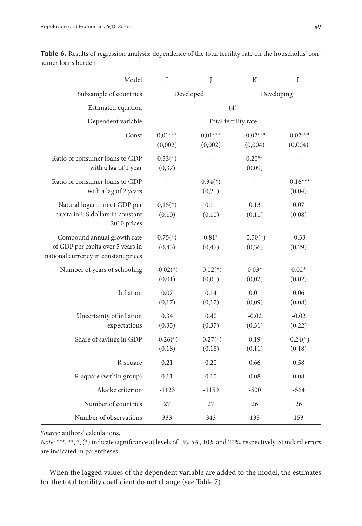| Model                                                                                                    | $\mathbf{I}$          | J                               | $\rm K$               | L                                |
|----------------------------------------------------------------------------------------------------------|-----------------------|---------------------------------|-----------------------|----------------------------------|
| Subsample of countries                                                                                   |                       | Developed                       |                       | Developing                       |
| Estimated equation                                                                                       |                       | (4)                             |                       |                                  |
| Dependent variable                                                                                       |                       | Total fertility rate            |                       |                                  |
| Const                                                                                                    | $0.01***$<br>(0,002)  | $0.01***$<br>(0,002)            | $-0.02***$<br>(0,004) | $-0.02***$<br>(0,004)            |
| Ratio of consumer loans to GDP<br>with a lag of 1 year                                                   | $0,53(*)$<br>(0,37)   |                                 | $0,20**$<br>(0,09)    |                                  |
| Ratio of consumer loans to GDP<br>with a lag of 2 years                                                  |                       | $0,34$ <sup>(*)</sup><br>(0,21) |                       | $-0,16***$<br>(0,04)             |
| Natural logarithm of GDP per<br>capita in US dollars in constant<br>2010 prices                          | $0,15(*)$<br>(0,10)   | 0.11<br>(0,10)                  | 0.13<br>(0,11)        | 0.07<br>(0,08)                   |
| Compound annual growth rate<br>of GDP per capita over 5 years in<br>national currency in constant prices | $0,75(*)$<br>(0, 45)  | $0,81*$<br>(0, 45)              | $-0,50(*)$<br>(0, 36) | $-0.33$<br>(0,29)                |
| Number of years of schooling                                                                             | $-0,02(*)$<br>(0,01)  | $-0,02(*)$<br>(0,01)            | $0,03*$<br>(0,02)     | $0,02*$<br>(0,02)                |
| Inflation                                                                                                | 0.07<br>(0,17)        | 0.14<br>(0,17)                  | 0.01<br>(0,09)        | 0.06<br>(0,08)                   |
| Uncertainty of inflation<br>expectations                                                                 | 0.34<br>(0, 35)       | 0.40<br>(0,37)                  | $-0.02$<br>(0,31)     | $-0.02$<br>(0,22)                |
| Share of savings in GDP                                                                                  | $-0,26(*)$<br>(0, 18) | $-0,27(*)$<br>(0, 18)           | $-0,19*$<br>(0,11)    | $-0,24$ <sup>*</sup> )<br>(0,18) |
| R-square                                                                                                 | 0.21                  | 0.20                            | 0.66                  | 0.58                             |
| R-square (within group)                                                                                  | 0.11                  | 0.10                            | 0.08                  | 0.08                             |
| Akaike criterion                                                                                         | $-1123$               | $-1159$                         | $-500$                | $-564$                           |
| Number of countries                                                                                      | 27                    | 27                              | 26                    | 26                               |
| Number of observations                                                                                   | 333                   | 343                             | 135                   | 153                              |

Table 6. Results of regression analysis: dependence of the total fertility rate on the households' consumer loans burden

*Source:* authors' calculations.

*Note:* \*\*\*, \*\*, \*, (\*) indicate significance at levels of 1%, 5%, 10% and 20%, respectively. Standard errors are indicated in parentheses.

When the lagged values of the dependent variable are added to the model, the estimates for the total fertility coefficient do not change (see Table 7).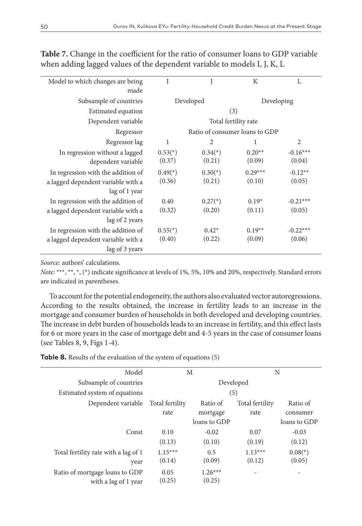| Model to which changes are being   | I                       |                                | K         | L              |
|------------------------------------|-------------------------|--------------------------------|-----------|----------------|
| made                               |                         |                                |           |                |
| Subsample of countries             |                         | Developed                      |           | Developing     |
| Estimated equation                 |                         | (3)                            |           |                |
| Dependent variable                 |                         | Total fertility rate           |           |                |
| Regressor                          |                         | Ratio of consumer loans to GDP |           |                |
| Regressor lag                      | $\mathbf{1}$            | $\overline{2}$                 | 1         | $\overline{2}$ |
| In regression without a lagged     | $0.53(*)$               | $0.34$ <sup>(*)</sup> )        | $0.20**$  | $-0.16***$     |
| dependent variable                 | (0.37)                  | (0.21)                         | (0.09)    | (0.04)         |
| In regression with the addition of | $0.49$ <sup>(*)</sup> ) | $0.30(*)$                      | $0.29***$ | $-0.12**$      |
| a lagged dependent variable with a | (0.36)                  | (0.21)                         | (0.10)    | (0.05)         |
| lag of 1 year                      |                         |                                |           |                |
| In regression with the addition of | 0.40                    | $0.27^{(*)}$                   | $0.19*$   | $-0.21***$     |
| a lagged dependent variable with a | (0.32)                  | (0.20)                         | (0.11)    | (0.05)         |
| lag of 2 years                     |                         |                                |           |                |
| In regression with the addition of | $0.55(*)$               | $0.42*$                        | $0.19**$  | $-0.22***$     |
| a lagged dependent variable with a | (0.40)                  | (0.22)                         | (0.09)    | (0.06)         |
| lag of 3 years                     |                         |                                |           |                |

**Table 7.** Change in the coefficient for the ratio of consumer loans to GDP variable when adding lagged values of the dependent variable to models I, J, K, L

*Source:* authors' calculations.

*Note:* \*\*\*, \*\*, \*, (\*) indicate significance at levels of 1%, 5%, 10% and 20%, respectively. Standard errors are indicated in parentheses.

To account for the potential endogeneity, the authors also evaluated vector autoregressions. According to the results obtained, the increase in fertility leads to an increase in the mortgage and consumer burden of households in both developed and developing countries. The increase in debt burden of households leads to an increase in fertility, and this effect lasts for 6 or more years in the case of mortgage debt and 4-5 years in the case of consumer loans (see Tables 8, 9, Figs 1-4).

| Model                                |                 | M            |                 | N                       |
|--------------------------------------|-----------------|--------------|-----------------|-------------------------|
| Subsample of countries               |                 |              | Developed       |                         |
| Estimated system of equations        |                 |              | (5)             |                         |
| Dependent variable                   | Total fertility | Ratio of     | Total fertility | Ratio of                |
|                                      | rate            | mortgage     | rate            | consumer                |
|                                      |                 | loans to GDP |                 | loans to GDP            |
| Const                                | 0.10            | $-0.02$      | 0.07            | $-0.03$                 |
|                                      | (0.13)          | (0.10)       | (0.19)          | (0.12)                  |
| Total fertility rate with a lag of 1 | $1.15***$       | 0.5          | $1.13***$       | $0.08$ <sup>(*)</sup> ) |
| year                                 | (0.14)          | (0.09)       | (0.12)          | (0.05)                  |
| Ratio of mortgage loans to GDP       | 0.05            | $1.26***$    |                 |                         |
| with a lag of 1 year                 | (0.25)          | (0.25)       |                 |                         |
|                                      |                 |              |                 |                         |

**Table 8.** Results of the evaluation of the system of equations (5)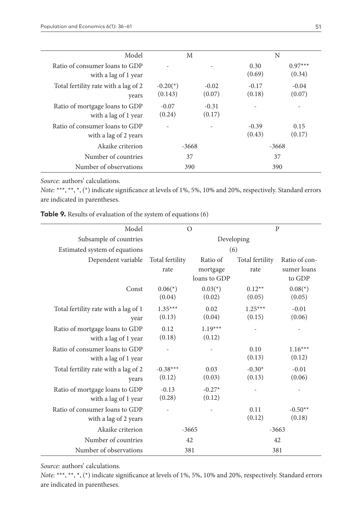| Model                                                   |                       | M                 |                   | N                   |
|---------------------------------------------------------|-----------------------|-------------------|-------------------|---------------------|
| Ratio of consumer loans to GDP<br>with a lag of 1 year  |                       |                   | 0.30<br>(0.69)    | $0.97***$<br>(0.34) |
| Total fertility rate with a lag of 2<br>years           | $-0.20(*)$<br>(0.143) | $-0.02$<br>(0.07) | $-0.17$<br>(0.18) | $-0.04$<br>(0.07)   |
| Ratio of mortgage loans to GDP<br>with a lag of 1 year  | $-0.07$<br>(0.24)     | $-0.31$<br>(0.17) |                   |                     |
| Ratio of consumer loans to GDP<br>with a lag of 2 years |                       |                   | $-0.39$<br>(0.43) | 0.15<br>(0.17)      |
| Akaike criterion                                        | $-3668$               |                   | -3668             |                     |
| Number of countries                                     | 37                    |                   |                   | 37                  |
| Number of observations                                  |                       | 390               |                   | 390                 |

*Source:* authors' calculations.

*Note:* \*\*\*, \*\*, \*, (\*) indicate significance at levels of 1%, 5%, 10% and 20%, respectively. Standard errors are indicated in parentheses.

| Table 9. Results of evaluation of the system of equations (6) |  |  |  |  |
|---------------------------------------------------------------|--|--|--|--|
|---------------------------------------------------------------|--|--|--|--|

| Model                                                   |                         | $\Omega$                             | $\overline{P}$          |                                        |
|---------------------------------------------------------|-------------------------|--------------------------------------|-------------------------|----------------------------------------|
| Subsample of countries                                  | Developing              |                                      |                         |                                        |
| Estimated system of equations                           |                         | (6)                                  |                         |                                        |
| Dependent variable                                      | Total fertility<br>rate | Ratio of<br>mortgage<br>loans to GDP | Total fertility<br>rate | Ratio of con-<br>sumer loans<br>to GDP |
| Const                                                   | $0.06(*)$<br>(0.04)     | $0.03(*)$<br>(0.02)                  | $0.12**$<br>(0.05)      | $0.08$ <sup>(*)</sup> )<br>(0.05)      |
| Total fertility rate with a lag of 1<br>year            | $1.35***$<br>(0.13)     | 0.02<br>(0.04)                       | $1.25***$<br>(0.15)     | $-0.01$<br>(0.06)                      |
| Ratio of mortgage loans to GDP<br>with a lag of 1 year  | 0.12<br>(0.18)          | $1.19***$<br>(0.12)                  |                         |                                        |
| Ratio of consumer loans to GDP<br>with a lag of 1 year  |                         |                                      | 0.10<br>(0.13)          | $1.16***$<br>(0.12)                    |
| Total fertility rate with a lag of 2<br>years           | $-0.38***$<br>(0.12)    | 0.03<br>(0.03)                       | $-0.30*$<br>(0.13)      | $-0.01$<br>(0.06)                      |
| Ratio of mortgage loans to GDP<br>with a lag of 1 year  | $-0.13$<br>(0.28)       | $-0.27*$<br>(0.12)                   |                         |                                        |
| Ratio of consumer loans to GDP<br>with a lag of 2 years |                         |                                      | 0.11<br>(0.12)          | $-0.50**$<br>(0.18)                    |
| Akaike criterion                                        |                         | $-3665$                              | $-3663$                 |                                        |
| Number of countries                                     |                         | 42                                   | 42                      |                                        |
| Number of observations                                  |                         | 381                                  | 381                     |                                        |

*Source:* authors' calculations.

*Note:* \*\*\*, \*\*, \*, (\*) indicate significance at levels of 1%, 5%, 10% and 20%, respectively. Standard errors are indicated in parentheses.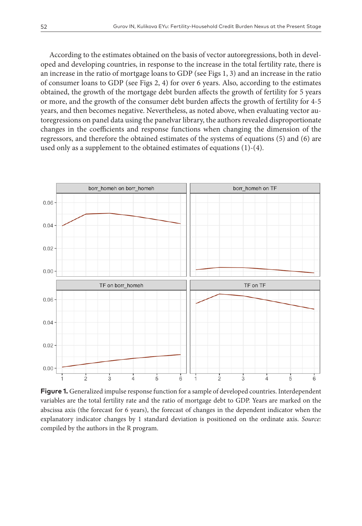According to the estimates obtained on the basis of vector autoregressions, both in developed and developing countries, in response to the increase in the total fertility rate, there is an increase in the ratio of mortgage loans to GDP (see Figs 1, 3) and an increase in the ratio of consumer loans to GDP (see Figs 2, 4) for over 6 years. Also, according to the estimates obtained, the growth of the mortgage debt burden affects the growth of fertility for 5 years or more, and the growth of the consumer debt burden affects the growth of fertility for 4-5 years, and then becomes negative. Nevertheless, as noted above, when evaluating vector autoregressions on panel data using the panelvar library, the authors revealed disproportionate changes in the coefficients and response functions when changing the dimension of the regressors, and therefore the obtained estimates of the systems of equations (5) and (6) are used only as a supplement to the obtained estimates of equations (1)-(4).



**Figure 1.** Generalized impulse response function for a sample of developed countries. Interdependent variables are the total fertility rate and the ratio of mortgage debt to GDP. Years are marked on the abscissa axis (the forecast for 6 years), the forecast of changes in the dependent indicator when the explanatory indicator changes by 1 standard deviation is positioned on the ordinate axis. *Source:* compiled by the authors in the R program.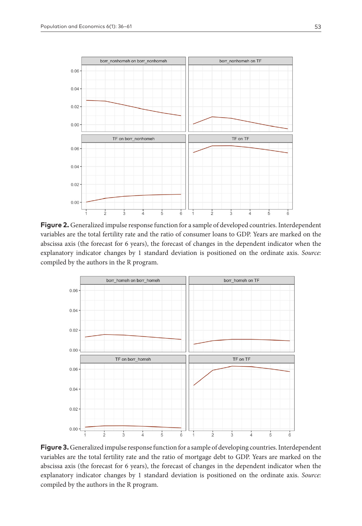

**Figure 2.** Generalized impulse response function for a sample of developed countries. Interdependent variables are the total fertility rate and the ratio of consumer loans to GDP. Years are marked on the abscissa axis (the forecast for 6 years), the forecast of changes in the dependent indicator when the explanatory indicator changes by 1 standard deviation is positioned on the ordinate axis. *Source:* compiled by the authors in the R program.



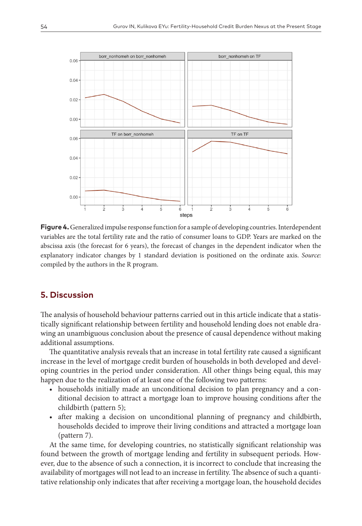

**Figure 4.** Generalized impulse response function for a sample of developing countries. Interdependent variables are the total fertility rate and the ratio of consumer loans to GDP. Years are marked on the abscissa axis (the forecast for 6 years), the forecast of changes in the dependent indicator when the explanatory indicator changes by 1 standard deviation is positioned on the ordinate axis. *Source:* compiled by the authors in the R program.

## **5. Discussion**

The analysis of household behaviour patterns carried out in this article indicate that a statistically significant relationship between fertility and household lending does not enable drawing an unambiguous conclusion about the presence of causal dependence without making additional assumptions.

The quantitative analysis reveals that an increase in total fertility rate caused a significant increase in the level of mortgage credit burden of households in both developed and developing countries in the period under consideration. All other things being equal, this may happen due to the realization of at least one of the following two patterns:

- households initially made an unconditional decision to plan pregnancy and a conditional decision to attract a mortgage loan to improve housing conditions after the childbirth (pattern 5);
- after making a decision on unconditional planning of pregnancy and childbirth, households decided to improve their living conditions and attracted a mortgage loan (pattern 7).

At the same time, for developing countries, no statistically significant relationship was found between the growth of mortgage lending and fertility in subsequent periods. However, due to the absence of such a connection, it is incorrect to conclude that increasing the availability of mortgages will not lead to an increase in fertility. The absence of such a quantitative relationship only indicates that after receiving a mortgage loan, the household decides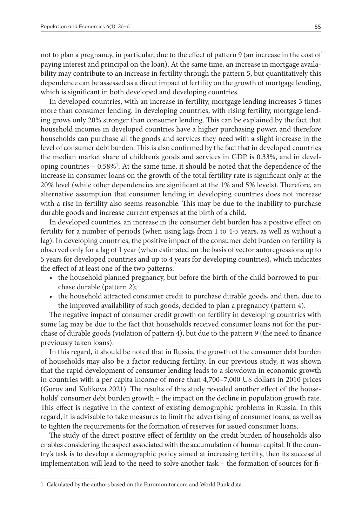not to plan a pregnancy, in particular, due to the effect of pattern 9 (an increase in the cost of paying interest and principal on the loan). At the same time, an increase in mortgage availability may contribute to an increase in fertility through the pattern 5, but quantitatively this dependence can be assessed as a direct impact of fertility on the growth of mortgage lending, which is significant in both developed and developing countries.

In developed countries, with an increase in fertility, mortgage lending increases 3 times more than consumer lending. In developing countries, with rising fertility, mortgage lending grows only 20% stronger than consumer lending. This can be explained by the fact that household incomes in developed countries have a higher purchasing power, and therefore households can purchase all the goods and services they need with a slight increase in the level of consumer debt burden. This is also confirmed by the fact that in developed countries the median market share of children's goods and services in GDP is 0.33%, and in developing countries – 0.58%1 . At the same time, it should be noted that the dependence of the increase in consumer loans on the growth of the total fertility rate is significant only at the 20% level (while other dependencies are significant at the 1% and 5% levels). Therefore, an alternative assumption that consumer lending in developing countries does not increase with a rise in fertility also seems reasonable. This may be due to the inability to purchase durable goods and increase current expenses at the birth of a child.

In developed countries, an increase in the consumer debt burden has a positive effect on fertility for a number of periods (when using lags from 1 to 4-5 years, as well as without a lag). In developing countries, the positive impact of the consumer debt burden on fertility is observed only for a lag of 1 year (when estimated on the basis of vector autoregressions up to 5 years for developed countries and up to 4 years for developing countries), which indicates the effect of at least one of the two patterns:

- the household planned pregnancy, but before the birth of the child borrowed to purchase durable (pattern 2);
- the household attracted consumer credit to purchase durable goods, and then, due to the improved availability of such goods, decided to plan a pregnancy (pattern 4).

The negative impact of consumer credit growth on fertility in developing countries with some lag may be due to the fact that households received consumer loans not for the purchase of durable goods (violation of pattern 4), but due to the pattern 9 (the need to finance previously taken loans).

In this regard, it should be noted that in Russia, the growth of the consumer debt burden of households may also be a factor reducing fertility. In our previous study, it was shown that the rapid development of consumer lending leads to a slowdown in economic growth in countries with a per capita income of more than 4,700–7,000 US dollars in 2010 prices (Gurov and Kulikova 2021). The results of this study revealed another effect of the households' consumer debt burden growth – the impact on the decline in population growth rate. This effect is negative in the context of existing demographic problems in Russia. In this regard, it is advisable to take measures to limit the advertising of consumer loans, as well as to tighten the requirements for the formation of reserves for issued consumer loans.

The study of the direct positive effect of fertility on the credit burden of households also enables considering the aspect associated with the accumulation of human capital. If the country's task is to develop a demographic policy aimed at increasing fertility, then its successful implementation will lead to the need to solve another task – the formation of sources for fi-

<sup>1</sup> Calculated by the authors based on the [Euromonitor.com](http://Euromonitor.com) and World Bank data.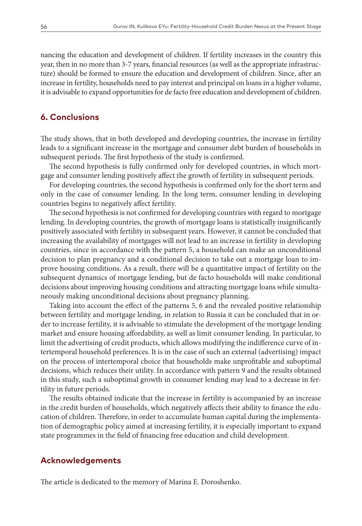nancing the education and development of children. If fertility increases in the country this year, then in no more than 3-7 years, financial resources (as well as the appropriate infrastructure) should be formed to ensure the education and development of children. Since, after an increase in fertility, households need to pay interest and principal on loans in a higher volume, it is advisable to expand opportunities for de facto free education and development of children.

#### **6. Conclusions**

The study shows, that in both developed and developing countries, the increase in fertility leads to a significant increase in the mortgage and consumer debt burden of households in subsequent periods. The first hypothesis of the study is confirmed.

The second hypothesis is fully confirmed only for developed countries, in which mortgage and consumer lending positively affect the growth of fertility in subsequent periods.

For developing countries, the second hypothesis is confirmed only for the short term and only in the case of consumer lending. In the long term, consumer lending in developing countries begins to negatively affect fertility.

The second hypothesis is not confirmed for developing countries with regard to mortgage lending. In developing countries, the growth of mortgage loans is statistically insignificantly positively associated with fertility in subsequent years. However, it cannot be concluded that increasing the availability of mortgages will not lead to an increase in fertility in developing countries, since in accordance with the pattern 5, a household can make an unconditional decision to plan pregnancy and a conditional decision to take out a mortgage loan to improve housing conditions. As a result, there will be a quantitative impact of fertility on the subsequent dynamics of mortgage lending, but de facto households will make conditional decisions about improving housing conditions and attracting mortgage loans while simultaneously making unconditional decisions about pregnancy planning.

Taking into account the effect of the patterns 5, 6 and the revealed positive relationship between fertility and mortgage lending, in relation to Russia it can be concluded that in order to increase fertility, it is advisable to stimulate the development of the mortgage lending market and ensure housing affordability, as well as limit consumer lending. In particular, to limit the advertising of credit products, which allows modifying the indifference curve of intertemporal household preferences. It is in the case of such an external (advertising) impact on the process of intertemporal choice that households make unprofitable and suboptimal decisions, which reduces their utility. In accordance with pattern 9 and the results obtained in this study, such a suboptimal growth in consumer lending may lead to a decrease in fertility in future periods.

The results obtained indicate that the increase in fertility is accompanied by an increase in the credit burden of households, which negatively affects their ability to finance the education of children. Therefore, in order to accumulate human capital during the implementation of demographic policy aimed at increasing fertility, it is especially important to expand state programmes in the field of financing free education and child development.

#### **Acknowledgements**

The article is dedicated to the memory of Marina E. Doroshenko.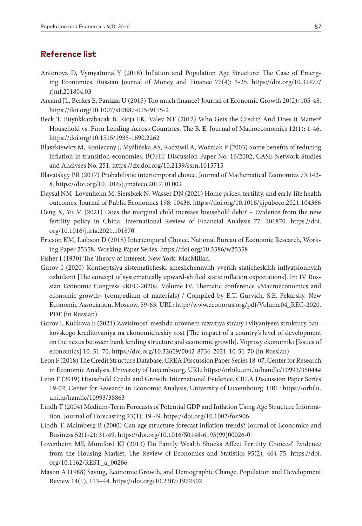## **Reference list**

- Antonova D, Vymyatnina Y (2018) Inflation and Population Age Structure: The Case of Emerging Economies. Russian Journal of Money and Finance 77(4): 3-25. [https://doi.org/10.31477/](https://doi.org/10.31477/rjmf.201804.03) [rjmf.201804.03](https://doi.org/10.31477/rjmf.201804.03)
- Arcand JL, Berkes E, Panizza U (2015) Too much finance? Journal of Economic Growth 20(2): 105-48. <https://doi.org/10.1007/s10887-015-9115-2>
- Beck T, Büyükkarabacak B, Rioja FK, Valev NT (2012) Who Gets the Credit? And Does it Matter? Household vs. Firm Lending Across Countries. The B. E. Journal of Macroeconomics 12(1): 1-46. <https://doi.org/10.1515/1935-1690.2262>
- Błaszkiewicz M, Konieczny J, Myślińska AS, Radziwil A, Woźniak P (2003) Some benefits of reducing inflation in transition economies. BOFIT Discussion Paper No. 16/2002, CASE Network Studies and Analyses No. 251.<https://dx.doi.org/10.2139/ssrn.1015715>
- Blavatskyy PR (2017) Probabilistic intertemporal choice. Journal of Mathematical Economics 73:142- 8.<https://doi.org/10.1016/j.jmateco.2017.10.002>
- Daysal NM, Lovenheim M, Siersbæk N, Wasser DN (2021) Home prices, fertility, and early-life health outcomes. Journal of Public Economics 198: 10436. <https://doi.org/10.1016/j.jpubeco.2021.104366>
- Deng X, Yu M (2021) Does the marginal child increase household debt? Evidence from the new fertility policy in China. International Review of Financial Analysis 77: 101870. [https://doi.](https://doi.org/10.1016/j.irfa.2021.101870) [org/10.1016/j.irfa.2021.101870](https://doi.org/10.1016/j.irfa.2021.101870)
- Ericson KM, Laibson D (2018) Intertemporal Choice. National Bureau of Economic Research, Working Paper 25358, Working Paper Series.<https://doi.org/10.3386/w25358>
- Fisher I (1930) The Theory of Interest. New York: MacMillan.
- Gurov I (2020) Kontseptsiya sistematicheski smeshchennykh vverkh staticheskikh inflyatsionnykh ozhidaniĭ [The concept of systematically upward-shifted static inflation expectations]. In: IV Russian Economic Congress «REC-2020». Volume IV. Thematic conference «Macroeconomics and economic growth» (compedium of materials) / Compiled by E.T. Gurvich, S.E. Pekarsky. New Economic Association, Moscow, 59-63. URL: [http://www.econorus.org/pdf/Volume04\\_REC-2020.](http://www.econorus.org/pdf/Volume04_REC-2020.PDF) [PDF](http://www.econorus.org/pdf/Volume04_REC-2020.PDF) (in Russian)
- Gurov I, Kulikova E (2021) Zavisimost' mezhdu urovnem razvitiya strany i vliyaniyem struktury bankovskogo kreditovaniya na ekonomicheskiy rost [The impact of a country's level of development on the nexus between bank lending structure and economic growth]. Voprosy ekonomiki [Issues of economics] 10: 51-70. <https://doi.org/10.32609/0042-8736-2021-10-51-70> (in Russian)
- Leon F (2018) The Credit Structure Database. CREA Discussion Paper Series 18-07, Center for Research in Economic Analysis, University of Luxembourg. URL: <https://orbilu.uni.lu/handle/10993/35044#>
- Leon F (2019) Household Credit and Growth: International Evidence. CREA Discussion Paper Series 19-02, Center for Research in Economic Analysis, University of Luxembourg. URL: [https://orbilu.](https://orbilu.uni.lu/handle/10993/38863) [uni.lu/handle/10993/38863](https://orbilu.uni.lu/handle/10993/38863)
- Lindh T (2004) Medium-Term Forecasts of Potential GDP and Inflation Using Age Structure Information. Journal of Forecasting 23(1): 19-49. <https://doi.org/10.1002/for.906>
- Lindh T, Malmberg B (2000) Can age structure forecast inflation trends? Journal of Economics and Business 52(1-2): 31-49. [https://doi.org/10.1016/S0148-6195\(99\)00026-0](https://doi.org/10.1016/S0148-6195(99)00026-0)
- Lovenheim MF, Mumford KJ (2013) Do Family Wealth Shocks Affect Fertility Choices? Evidence from the Housing Market. The Review of Economics and Statistics 95(2): 464-75. [https://doi.](https://doi.org/10.1162/REST_a_00266) [org/10.1162/REST\\_a\\_00266](https://doi.org/10.1162/REST_a_00266)
- Mason A (1988) Saving, Economic Growth, and Demographic Change. Population and Development Review 14(1), 113–44. <https://doi.org/10.2307/1972502>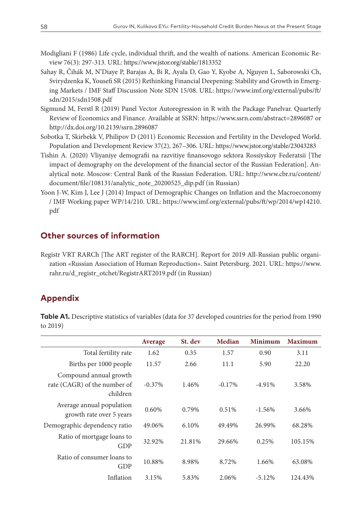- Modigliani F (1986) Life cycle, individual thrift, and the wealth of nations. American Economic Review 76(3): 297-313. URL:<https://www.jstor.org/stable/1813352>
- Sahay R, Čihák M, N'Diaye P, Barajas A, Bi R, Ayala D, Gao Y, Kyobe A, Nguyen L, Saborowski Ch, Svirydzenka K, Yousefi SR (2015) Rethinking Financial Deepening: Stability and Growth in Emerging Markets / IMF Staff Discussion Note SDN 15/08. URL: [https://www.imf.org/external/pubs/ft/](https://www.imf.org/external/pubs/ft/sdn/2015/sdn1508.pdf) [sdn/2015/sdn1508.pdf](https://www.imf.org/external/pubs/ft/sdn/2015/sdn1508.pdf)
- Sigmund M, Ferstl R (2019) Panel Vector Autoregression in R with the Package Panelvar. Quarterly Review of Economics and Finance. Available at SSRN: <https://www.ssrn.com/abstract=2896087> or <http://dx.doi.org/10.2139/ssrn.2896087>
- Sobotka T, Skirbekk V, Philipov D (2011) Economic Recession and Fertility in the Developed World. Population and Development Review 37(2), 267–306. URL: <https://www.jstor.org/stable/23043283>
- Tishin A. (2020) Vliyaniye demografii na razvitiye finansovogo sektora Rossiyskoy Federatsii [The impact of demography on the development of the financial sector of the Russian Federation]. Analytical note. Moscow: Central Bank of the Russian Federation. URL: [http://www.cbr.ru/content/](http://www.cbr.ru/content/document/file/108131/analytic_note_20200525_dip.pdf) [document/file/108131/analytic\\_note\\_20200525\\_dip.pdf](http://www.cbr.ru/content/document/file/108131/analytic_note_20200525_dip.pdf) (in Russian)
- Yoon J-W, Kim J, Lee J (2014) Impact of Demographic Changes on Inflation and the Macroeconomy / IMF Working paper WP/14/210. URL: [https://www.imf.org/external/pubs/ft/wp/2014/wp14210.](https://www.imf.org/external/pubs/ft/wp/2014/wp14210.pdf) [pdf](https://www.imf.org/external/pubs/ft/wp/2014/wp14210.pdf)

#### **Other sources of information**

Registr VRT RARCh [The ART register of the RARCH]. Report for 2019 All-Russian public organization «Russian Association of Human Reproduction». Saint Petersburg. 2021. URL: [https://www.](https://www.rahr.ru/d_registr_otchet/RegistrART2019.pdf) [rahr.ru/d\\_registr\\_otchet/RegistrART2019.pdf](https://www.rahr.ru/d_registr_otchet/RegistrART2019.pdf) (in Russian)

#### **Appendix**

**Table A1.** Descriptive statistics of variables (data for 37 developed countries for the period from 1990 to 2019)

|                                                                    | Average   | St. dev | Median   | Minimum   | <b>Maximum</b> |
|--------------------------------------------------------------------|-----------|---------|----------|-----------|----------------|
| Total fertility rate                                               | 1.62      | 0.35    | 1.57     | 0.90      | 3.11           |
| Births per 1000 people                                             | 11.57     | 2.66    | 11.1     | 5.90      | 22.20          |
| Compound annual growth<br>rate (CAGR) of the number of<br>children | $-0.37\%$ | 1.46%   | $-0.17%$ | $-4.91%$  | 3.58%          |
| Average annual population<br>growth rate over 5 years              | 0.60%     | 0.79%   | 0.51%    | $-1.56\%$ | 3.66%          |
| Demographic dependency ratio                                       | 49.06%    | 6.10%   | 49.49%   | 26.99%    | 68.28%         |
| Ratio of mortgage loans to<br>GDP                                  | 32.92%    | 21.81%  | 29.66%   | 0.25%     | 105.15%        |
| Ratio of consumer loans to<br>GDP                                  | 10.88%    | 8.98%   | 8.72%    | 1.66%     | 63.08%         |
| Inflation                                                          | 3.15%     | 5.83%   | 2.06%    | $-5.12\%$ | 124.43%        |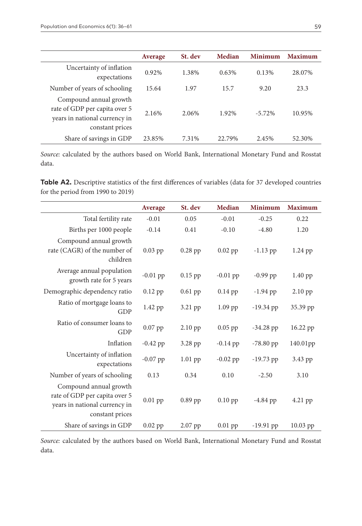|                                                                                                             | Average | St. dev | Median | <b>Minimum</b> | <b>Maximum</b> |
|-------------------------------------------------------------------------------------------------------------|---------|---------|--------|----------------|----------------|
| Uncertainty of inflation<br>expectations                                                                    | 0.92%   | 1.38%   | 0.63%  | 0.13%          | 28.07%         |
| Number of years of schooling                                                                                | 15.64   | 1.97    | 15.7   | 9.20           | 23.3           |
| Compound annual growth<br>rate of GDP per capita over 5<br>years in national currency in<br>constant prices | 2.16%   | 2.06%   | 1.92%  | $-5.72\%$      | 10.95%         |
| Share of savings in GDP                                                                                     | 23.85%  | 7.31%   | 22.79% | 2.45%          | 52.30%         |

*Source:* calculated by the authors based on World Bank, International Monetary Fund and Rosstat data.

Table A2. Descriptive statistics of the first differences of variables (data for 37 developed countries for the period from 1990 to 2019)

|                                                                                                             | Average    | St. dev   | <b>Median</b> | <b>Minimum</b> | <b>Maximum</b>       |
|-------------------------------------------------------------------------------------------------------------|------------|-----------|---------------|----------------|----------------------|
| Total fertility rate                                                                                        | $-0.01$    | 0.05      | $-0.01$       | $-0.25$        | 0.22                 |
| Births per 1000 people                                                                                      | $-0.14$    | 0.41      | $-0.10$       | $-4.80$        | 1.20                 |
| Compound annual growth<br>rate (CAGR) of the number of<br>children                                          | $0.03$ pp  | $0.28$ pp | $0.02$ pp     | $-1.13$ pp     | 1.24 pp              |
| Average annual population<br>growth rate for 5 years                                                        | $-0.01$ pp | $0.15$ pp | $-0.01$ pp    | $-0.99$ pp     | 1.40 pp              |
| Demographic dependency ratio                                                                                | $0.12$ pp  | 0.61 pp   | 0.14 pp       | $-1.94$ pp     | $2.10$ pp            |
| Ratio of mortgage loans to<br><b>GDP</b>                                                                    | 1.42 pp    | 3.21 pp   | $1.09$ pp     | $-19.34$ pp    | 35.39 pp             |
| Ratio of consumer loans to<br><b>GDP</b>                                                                    | $0.07$ pp  | $2.10$ pp | $0.05$ pp     | $-34.28$ pp    | 16.22 pp             |
| Inflation                                                                                                   | $-0.42$ pp | 3.28 pp   | $-0.14$ pp    | $-78.80$ pp    | 140.01 <sub>pp</sub> |
| Uncertainty of inflation<br>expectations                                                                    | $-0.07$ pp | $1.01$ pp | $-0.02$ pp    | $-19.73$ pp    | 3.43 pp              |
| Number of years of schooling                                                                                | 0.13       | 0.34      | 0.10          | $-2.50$        | 3.10                 |
| Compound annual growth<br>rate of GDP per capita over 5<br>years in national currency in<br>constant prices | $0.01$ pp  | $0.89$ pp | $0.10$ pp     | $-4.84$ pp     | 4.21 pp              |
| Share of savings in GDP                                                                                     | $0.02$ pp  | $2.07$ pp | $0.01$ pp     | $-19.91$ pp    | 10.03 pp             |

*Source:* calculated by the authors based on World Bank, International Monetary Fund and Rosstat data.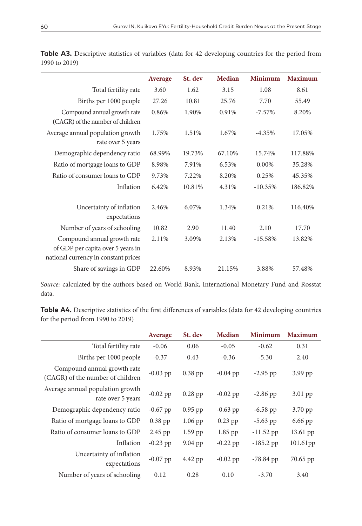|                                                                                                          | Average | St. dev | Median | <b>Minimum</b> | <b>Maximum</b> |
|----------------------------------------------------------------------------------------------------------|---------|---------|--------|----------------|----------------|
| Total fertility rate                                                                                     | 3.60    | 1.62    | 3.15   | 1.08           | 8.61           |
| Births per 1000 people                                                                                   | 27.26   | 10.81   | 25.76  | 7.70           | 55.49          |
| Compound annual growth rate<br>(CAGR) of the number of children                                          | 0.86%   | 1.90%   | 0.91%  | $-7.57\%$      | 8.20%          |
| Average annual population growth<br>rate over 5 years                                                    | 1.75%   | 1.51%   | 1.67%  | $-4.35%$       | 17.05%         |
| Demographic dependency ratio                                                                             | 68.99%  | 19.73%  | 67.10% | 15.74%         | 117.88%        |
| Ratio of mortgage loans to GDP                                                                           | 8.98%   | 7.91%   | 6.53%  | $0.00\%$       | 35.28%         |
| Ratio of consumer loans to GDP                                                                           | 9.73%   | 7.22%   | 8.20%  | 0.25%          | 45.35%         |
| Inflation                                                                                                | 6.42%   | 10.81%  | 4.31%  | $-10.35%$      | 186.82%        |
| Uncertainty of inflation<br>expectations                                                                 | 2.46%   | 6.07%   | 1.34%  | 0.21%          | 116.40%        |
| Number of years of schooling                                                                             | 10.82   | 2.90    | 11.40  | 2.10           | 17.70          |
| Compound annual growth rate<br>of GDP per capita over 5 years in<br>national currency in constant prices | 2.11%   | 3.09%   | 2.13%  | $-15.58%$      | 13.82%         |
| Share of savings in GDP                                                                                  | 22.60%  | 8.93%   | 21.15% | 3.88%          | 57.48%         |

**Table A3.** Descriptive statistics of variables (data for 42 developing countries for the period from 1990 to 2019)

*Source:* calculated by the authors based on World Bank, International Monetary Fund and Rosstat data.

**Table A4.** Descriptive statistics of the first differences of variables (data for 42 developing countries for the period from 1990 to 2019)

|                                                                 | Average    | St. dev   | Median     | Minimum     | <b>Maximum</b> |
|-----------------------------------------------------------------|------------|-----------|------------|-------------|----------------|
| Total fertility rate                                            | $-0.06$    | 0.06      | $-0.05$    | $-0.62$     | 0.31           |
| Births per 1000 people                                          | $-0.37$    | 0.43      | $-0.36$    | $-5.30$     | 2.40           |
| Compound annual growth rate<br>(CAGR) of the number of children | $-0.03$ pp | $0.38$ pp | $-0.04$ pp | $-2.95$ pp  | 3.99 pp        |
| Average annual population growth<br>rate over 5 years           | $-0.02$ pp | $0.28$ pp | $-0.02$ pp | $-2.86$ pp  | $3.01$ pp      |
| Demographic dependency ratio                                    | $-0.67$ pp | $0.95$ pp | $-0.63$ pp | $-6.58$ pp  | 3.70 pp        |
| Ratio of mortgage loans to GDP                                  | $0.38$ pp  | $1.06$ pp | $0.23$ pp  | $-5.63$ pp  | $6.66$ pp      |
| Ratio of consumer loans to GDP                                  | $2.45$ pp  | $1.59$ pp | 1.85 pp    | $-11.52$ pp | 13.61 pp       |
| Inflation                                                       | $-0.23$ pp | 9.04 pp   | $-0.22$ pp | $-185.2$ pp | 101.61pp       |
| Uncertainty of inflation<br>expectations                        | $-0.07$ pp | 4.42 pp   | $-0.02$ pp | $-78.84$ pp | 70.65 pp       |
| Number of years of schooling                                    | 0.12       | 0.28      | 0.10       | $-3.70$     | 3.40           |